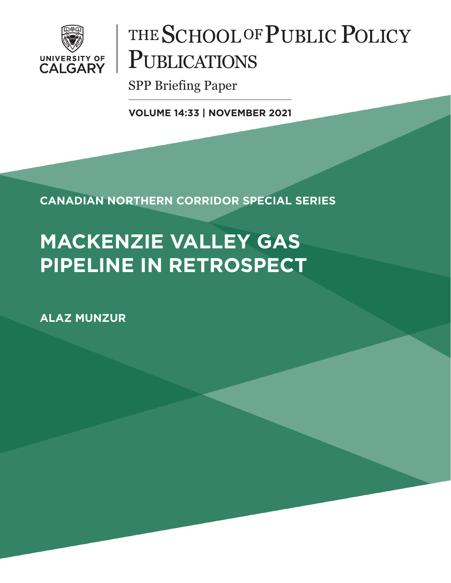

# THE SCHOOL OF PUBLIC POLICY PUBLICATIONS

SPP Briefing Paper

**VOLUME 14:33 | NOVEMBER 2021**

**CANADIAN NORTHERN CORRIDOR SPECIAL SERIES**

# **MACKENZIE VALLEY GAS PIPELINE IN RETROSPECT**

**ALAZ MUNZUR**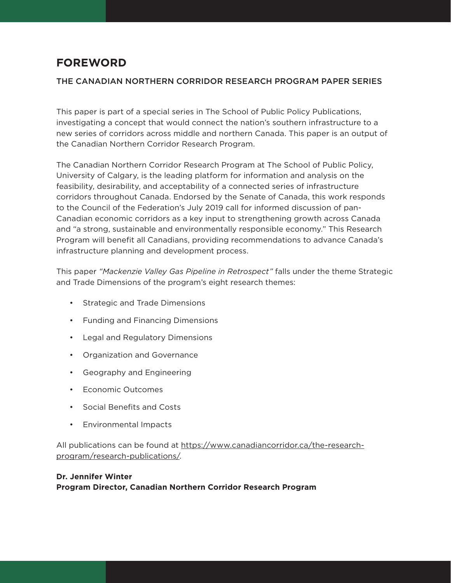# **FOREWORD**

### THE CANADIAN NORTHERN CORRIDOR RESEARCH PROGRAM PAPER SERIES

This paper is part of a special series in The School of Public Policy Publications, investigating a concept that would connect the nation's southern infrastructure to a new series of corridors across middle and northern Canada. This paper is an output of the Canadian Northern Corridor Research Program.

The Canadian Northern Corridor Research Program at The School of Public Policy, University of Calgary, is the leading platform for information and analysis on the feasibility, desirability, and acceptability of a connected series of infrastructure corridors throughout Canada. Endorsed by the Senate of Canada, this work responds to the Council of the Federation's July 2019 call for informed discussion of pan-Canadian economic corridors as a key input to strengthening growth across Canada and "a strong, sustainable and environmentally responsible economy." This Research Program will benefit all Canadians, providing recommendations to advance Canada's infrastructure planning and development process.

This paper *"Mackenzie Valley Gas Pipeline in Retrospect"* falls under the theme Strategic and Trade Dimensions of the program's eight research themes:

- Strategic and Trade Dimensions
- Funding and Financing Dimensions
- Legal and Regulatory Dimensions
- Organization and Governance
- Geography and Engineering
- Economic Outcomes
- Social Benefits and Costs
- Environmental Impacts

All publications can be found at [https://www.canadiancorridor.ca/the-research](https://www.canadiancorridor.ca/the-research-program/research-publications/)[program/research-publications/.](https://www.canadiancorridor.ca/the-research-program/research-publications/)

## **Dr. Jennifer Winter Program Director, Canadian Northern Corridor Research Program**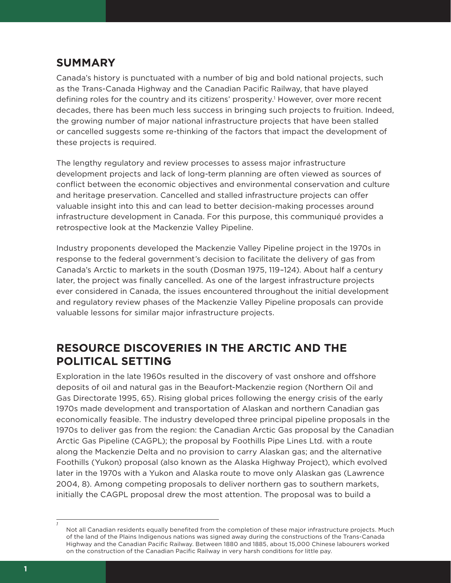## **SUMMARY**

Canada's history is punctuated with a number of big and bold national projects, such as the Trans-Canada Highway and the Canadian Pacific Railway, that have played defining roles for the country and its citizens' prosperity.<sup>1</sup> However, over more recent decades, there has been much less success in bringing such projects to fruition. Indeed, the growing number of major national infrastructure projects that have been stalled or cancelled suggests some re-thinking of the factors that impact the development of these projects is required.

The lengthy regulatory and review processes to assess major infrastructure development projects and lack of long-term planning are often viewed as sources of conflict between the economic objectives and environmental conservation and culture and heritage preservation. Cancelled and stalled infrastructure projects can offer valuable insight into this and can lead to better decision-making processes around infrastructure development in Canada. For this purpose, this communiqué provides a retrospective look at the Mackenzie Valley Pipeline.

Industry proponents developed the Mackenzie Valley Pipeline project in the 1970s in response to the federal government's decision to facilitate the delivery of gas from Canada's Arctic to markets in the south (Dosman 1975, 119–124). About half a century later, the project was finally cancelled. As one of the largest infrastructure projects ever considered in Canada, the issues encountered throughout the initial development and regulatory review phases of the Mackenzie Valley Pipeline proposals can provide valuable lessons for similar major infrastructure projects.

# **RESOURCE DISCOVERIES IN THE ARCTIC AND THE POLITICAL SETTING**

Exploration in the late 1960s resulted in the discovery of vast onshore and offshore deposits of oil and natural gas in the Beaufort-Mackenzie region (Northern Oil and Gas Directorate 1995, 65). Rising global prices following the energy crisis of the early 1970s made development and transportation of Alaskan and northern Canadian gas economically feasible. The industry developed three principal pipeline proposals in the 1970s to deliver gas from the region: the Canadian Arctic Gas proposal by the Canadian Arctic Gas Pipeline (CAGPL); the proposal by Foothills Pipe Lines Ltd. with a route along the Mackenzie Delta and no provision to carry Alaskan gas; and the alternative Foothills (Yukon) proposal (also known as the Alaska Highway Project), which evolved later in the 1970s with a Yukon and Alaska route to move only Alaskan gas (Lawrence 2004, 8). Among competing proposals to deliver northern gas to southern markets, initially the CAGPL proposal drew the most attention. The proposal was to build a

*1*

Not all Canadian residents equally benefited from the completion of these major infrastructure projects. Much of the land of the Plains Indigenous nations was signed away during the constructions of the Trans-Canada Highway and the Canadian Pacific Railway. Between 1880 and 1885, about 15,000 Chinese labourers worked on the construction of the Canadian Pacific Railway in very harsh conditions for little pay.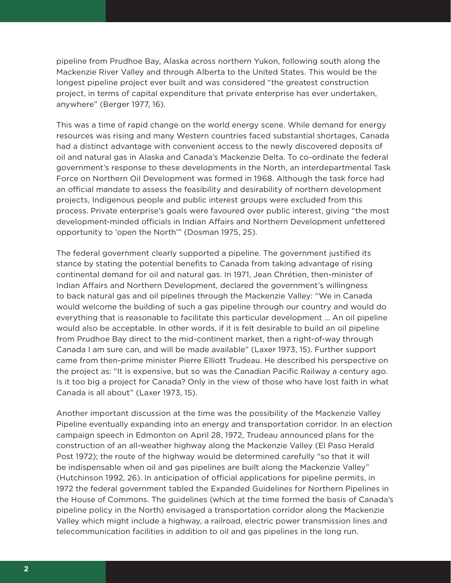pipeline from Prudhoe Bay, Alaska across northern Yukon, following south along the Mackenzie River Valley and through Alberta to the United States. This would be the longest pipeline project ever built and was considered "the greatest construction project, in terms of capital expenditure that private enterprise has ever undertaken, anywhere" (Berger 1977, 16).

This was a time of rapid change on the world energy scene. While demand for energy resources was rising and many Western countries faced substantial shortages, Canada had a distinct advantage with convenient access to the newly discovered deposits of oil and natural gas in Alaska and Canada's Mackenzie Delta. To co-ordinate the federal government's response to these developments in the North, an interdepartmental Task Force on Northern Oil Development was formed in 1968. Although the task force had an official mandate to assess the feasibility and desirability of northern development projects, Indigenous people and public interest groups were excluded from this process. Private enterprise's goals were favoured over public interest, giving "the most development-minded officials in Indian Affairs and Northern Development unfettered opportunity to 'open the North'" (Dosman 1975, 25).

The federal government clearly supported a pipeline. The government justified its stance by stating the potential benefits to Canada from taking advantage of rising continental demand for oil and natural gas. In 1971, Jean Chrétien, then-minister of Indian Affairs and Northern Development, declared the government's willingness to back natural gas and oil pipelines through the Mackenzie Valley: "We in Canada would welcome the building of such a gas pipeline through our country and would do everything that is reasonable to facilitate this particular development … An oil pipeline would also be acceptable. In other words, if it is felt desirable to build an oil pipeline from Prudhoe Bay direct to the mid-continent market, then a right-of-way through Canada I am sure can, and will be made available" (Laxer 1973, 15). Further support came from then-prime minister Pierre Elliott Trudeau. He described his perspective on the project as: "It is expensive, but so was the Canadian Pacific Railway a century ago. Is it too big a project for Canada? Only in the view of those who have lost faith in what Canada is all about" (Laxer 1973, 15).

Another important discussion at the time was the possibility of the Mackenzie Valley Pipeline eventually expanding into an energy and transportation corridor. In an election campaign speech in Edmonton on April 28, 1972, Trudeau announced plans for the construction of an all-weather highway along the Mackenzie Valley (El Paso Herald Post 1972); the route of the highway would be determined carefully "so that it will be indispensable when oil and gas pipelines are built along the Mackenzie Valley" (Hutchinson 1992, 26). In anticipation of official applications for pipeline permits, in 1972 the federal government tabled the Expanded Guidelines for Northern Pipelines in the House of Commons. The guidelines (which at the time formed the basis of Canada's pipeline policy in the North) envisaged a transportation corridor along the Mackenzie Valley which might include a highway, a railroad, electric power transmission lines and telecommunication facilities in addition to oil and gas pipelines in the long run.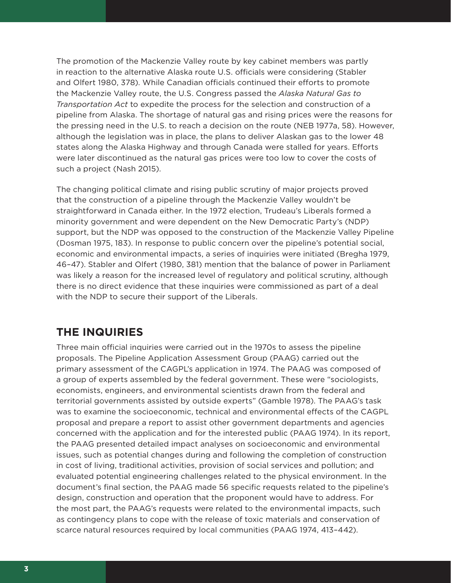The promotion of the Mackenzie Valley route by key cabinet members was partly in reaction to the alternative Alaska route U.S. officials were considering (Stabler and Olfert 1980, 378). While Canadian officials continued their efforts to promote the Mackenzie Valley route, the U.S. Congress passed the *Alaska Natural Gas to Transportation Act* to expedite the process for the selection and construction of a pipeline from Alaska. The shortage of natural gas and rising prices were the reasons for the pressing need in the U.S. to reach a decision on the route (NEB 1977a, 58). However, although the legislation was in place, the plans to deliver Alaskan gas to the lower 48 states along the Alaska Highway and through Canada were stalled for years. Efforts were later discontinued as the natural gas prices were too low to cover the costs of such a project (Nash 2015).

The changing political climate and rising public scrutiny of major projects proved that the construction of a pipeline through the Mackenzie Valley wouldn't be straightforward in Canada either. In the 1972 election, Trudeau's Liberals formed a minority government and were dependent on the New Democratic Party's (NDP) support, but the NDP was opposed to the construction of the Mackenzie Valley Pipeline (Dosman 1975, 183). In response to public concern over the pipeline's potential social, economic and environmental impacts, a series of inquiries were initiated (Bregha 1979, 46–47). Stabler and Olfert (1980, 381) mention that the balance of power in Parliament was likely a reason for the increased level of regulatory and political scrutiny, although there is no direct evidence that these inquiries were commissioned as part of a deal with the NDP to secure their support of the Liberals.

## **THE INQUIRIES**

Three main official inquiries were carried out in the 1970s to assess the pipeline proposals. The Pipeline Application Assessment Group (PAAG) carried out the primary assessment of the CAGPL's application in 1974. The PAAG was composed of a group of experts assembled by the federal government. These were "sociologists, economists, engineers, and environmental scientists drawn from the federal and territorial governments assisted by outside experts" (Gamble 1978). The PAAG's task was to examine the socioeconomic, technical and environmental effects of the CAGPL proposal and prepare a report to assist other government departments and agencies concerned with the application and for the interested public (PAAG 1974). In its report, the PAAG presented detailed impact analyses on socioeconomic and environmental issues, such as potential changes during and following the completion of construction in cost of living, traditional activities, provision of social services and pollution; and evaluated potential engineering challenges related to the physical environment. In the document's final section, the PAAG made 56 specific requests related to the pipeline's design, construction and operation that the proponent would have to address. For the most part, the PAAG's requests were related to the environmental impacts, such as contingency plans to cope with the release of toxic materials and conservation of scarce natural resources required by local communities (PAAG 1974, 413–442).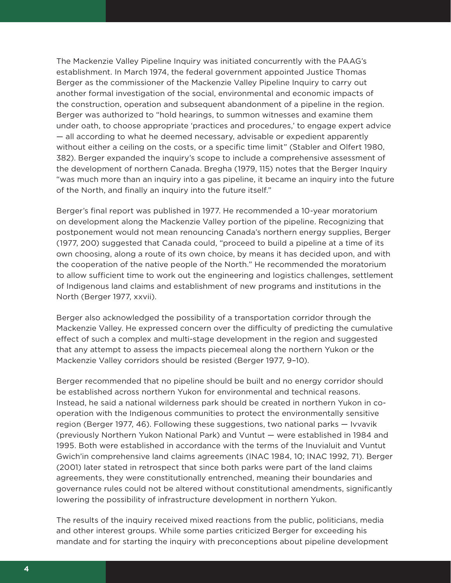The Mackenzie Valley Pipeline Inquiry was initiated concurrently with the PAAG's establishment. In March 1974, the federal government appointed Justice Thomas Berger as the commissioner of the Mackenzie Valley Pipeline Inquiry to carry out another formal investigation of the social, environmental and economic impacts of the construction, operation and subsequent abandonment of a pipeline in the region. Berger was authorized to "hold hearings, to summon witnesses and examine them under oath, to choose appropriate 'practices and procedures,' to engage expert advice — all according to what he deemed necessary, advisable or expedient apparently without either a ceiling on the costs, or a specific time limit" (Stabler and Olfert 1980, 382). Berger expanded the inquiry's scope to include a comprehensive assessment of the development of northern Canada. Bregha (1979, 115) notes that the Berger Inquiry "was much more than an inquiry into a gas pipeline, it became an inquiry into the future of the North, and finally an inquiry into the future itself."

Berger's final report was published in 1977. He recommended a 10-year moratorium on development along the Mackenzie Valley portion of the pipeline. Recognizing that postponement would not mean renouncing Canada's northern energy supplies, Berger (1977, 200) suggested that Canada could, "proceed to build a pipeline at a time of its own choosing, along a route of its own choice, by means it has decided upon, and with the cooperation of the native people of the North." He recommended the moratorium to allow sufficient time to work out the engineering and logistics challenges, settlement of Indigenous land claims and establishment of new programs and institutions in the North (Berger 1977, xxvii).

Berger also acknowledged the possibility of a transportation corridor through the Mackenzie Valley. He expressed concern over the difficulty of predicting the cumulative effect of such a complex and multi-stage development in the region and suggested that any attempt to assess the impacts piecemeal along the northern Yukon or the Mackenzie Valley corridors should be resisted (Berger 1977, 9–10).

Berger recommended that no pipeline should be built and no energy corridor should be established across northern Yukon for environmental and technical reasons. Instead, he said a national wilderness park should be created in northern Yukon in cooperation with the Indigenous communities to protect the environmentally sensitive region (Berger 1977, 46). Following these suggestions, two national parks — Ivvavik (previously Northern Yukon National Park) and Vuntut — were established in 1984 and 1995. Both were established in accordance with the terms of the Inuvialuit and Vuntut Gwich'in comprehensive land claims agreements (INAC 1984, 10; INAC 1992, 71). Berger (2001) later stated in retrospect that since both parks were part of the land claims agreements, they were constitutionally entrenched, meaning their boundaries and governance rules could not be altered without constitutional amendments, significantly lowering the possibility of infrastructure development in northern Yukon.

The results of the inquiry received mixed reactions from the public, politicians, media and other interest groups. While some parties criticized Berger for exceeding his mandate and for starting the inquiry with preconceptions about pipeline development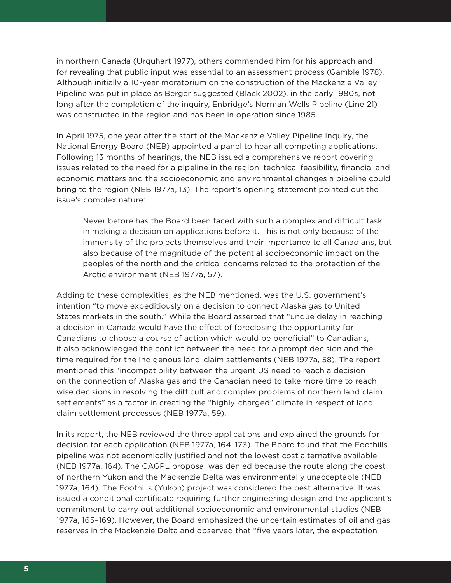in northern Canada (Urquhart 1977), others commended him for his approach and for revealing that public input was essential to an assessment process (Gamble 1978). Although initially a 10-year moratorium on the construction of the Mackenzie Valley Pipeline was put in place as Berger suggested (Black 2002), in the early 1980s, not long after the completion of the inquiry, Enbridge's Norman Wells Pipeline (Line 21) was constructed in the region and has been in operation since 1985.

In April 1975, one year after the start of the Mackenzie Valley Pipeline Inquiry, the National Energy Board (NEB) appointed a panel to hear all competing applications. Following 13 months of hearings, the NEB issued a comprehensive report covering issues related to the need for a pipeline in the region, technical feasibility, financial and economic matters and the socioeconomic and environmental changes a pipeline could bring to the region (NEB 1977a, 13). The report's opening statement pointed out the issue's complex nature:

Never before has the Board been faced with such a complex and difficult task in making a decision on applications before it. This is not only because of the immensity of the projects themselves and their importance to all Canadians, but also because of the magnitude of the potential socioeconomic impact on the peoples of the north and the critical concerns related to the protection of the Arctic environment (NEB 1977a, 57).

Adding to these complexities, as the NEB mentioned, was the U.S. government's intention "to move expeditiously on a decision to connect Alaska gas to United States markets in the south." While the Board asserted that "undue delay in reaching a decision in Canada would have the effect of foreclosing the opportunity for Canadians to choose a course of action which would be beneficial" to Canadians, it also acknowledged the conflict between the need for a prompt decision and the time required for the Indigenous land-claim settlements (NEB 1977a, 58). The report mentioned this "incompatibility between the urgent US need to reach a decision on the connection of Alaska gas and the Canadian need to take more time to reach wise decisions in resolving the difficult and complex problems of northern land claim settlements" as a factor in creating the "highly-charged" climate in respect of landclaim settlement processes (NEB 1977a, 59).

In its report, the NEB reviewed the three applications and explained the grounds for decision for each application (NEB 1977a, 164–173). The Board found that the Foothills pipeline was not economically justified and not the lowest cost alternative available (NEB 1977a, 164). The CAGPL proposal was denied because the route along the coast of northern Yukon and the Mackenzie Delta was environmentally unacceptable (NEB 1977a, 164). The Foothills (Yukon) project was considered the best alternative. It was issued a conditional certificate requiring further engineering design and the applicant's commitment to carry out additional socioeconomic and environmental studies (NEB 1977a, 165–169). However, the Board emphasized the uncertain estimates of oil and gas reserves in the Mackenzie Delta and observed that "five years later, the expectation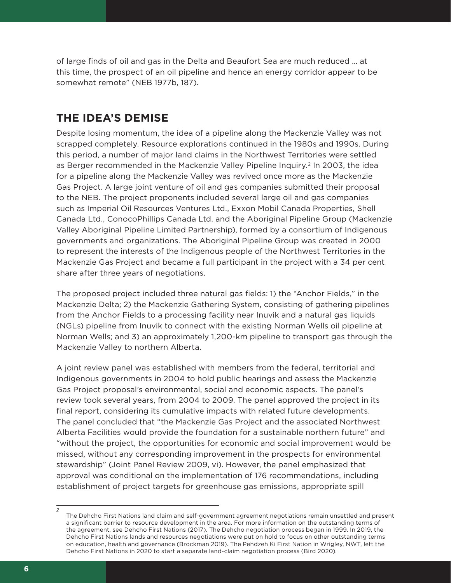of large finds of oil and gas in the Delta and Beaufort Sea are much reduced … at this time, the prospect of an oil pipeline and hence an energy corridor appear to be somewhat remote" (NEB 1977b, 187).

## **THE IDEA'S DEMISE**

Despite losing momentum, the idea of a pipeline along the Mackenzie Valley was not scrapped completely. Resource explorations continued in the 1980s and 1990s. During this period, a number of major land claims in the Northwest Territories were settled as Berger recommended in the Mackenzie Valley Pipeline Inquiry.<sup>2</sup> In 2003, the idea for a pipeline along the Mackenzie Valley was revived once more as the Mackenzie Gas Project. A large joint venture of oil and gas companies submitted their proposal to the NEB. The project proponents included several large oil and gas companies such as Imperial Oil Resources Ventures Ltd., Exxon Mobil Canada Properties, Shell Canada Ltd., ConocoPhillips Canada Ltd. and the Aboriginal Pipeline Group (Mackenzie Valley Aboriginal Pipeline Limited Partnership), formed by a consortium of Indigenous governments and organizations. The Aboriginal Pipeline Group was created in 2000 to represent the interests of the Indigenous people of the Northwest Territories in the Mackenzie Gas Project and became a full participant in the project with a 34 per cent share after three years of negotiations.

The proposed project included three natural gas fields: 1) the "Anchor Fields," in the Mackenzie Delta; 2) the Mackenzie Gathering System, consisting of gathering pipelines from the Anchor Fields to a processing facility near Inuvik and a natural gas liquids (NGLs) pipeline from Inuvik to connect with the existing Norman Wells oil pipeline at Norman Wells; and 3) an approximately 1,200-km pipeline to transport gas through the Mackenzie Valley to northern Alberta.

A joint review panel was established with members from the federal, territorial and Indigenous governments in 2004 to hold public hearings and assess the Mackenzie Gas Project proposal's environmental, social and economic aspects. The panel's review took several years, from 2004 to 2009. The panel approved the project in its final report, considering its cumulative impacts with related future developments. The panel concluded that "the Mackenzie Gas Project and the associated Northwest Alberta Facilities would provide the foundation for a sustainable northern future" and "without the project, the opportunities for economic and social improvement would be missed, without any corresponding improvement in the prospects for environmental stewardship" (Joint Panel Review 2009, vi). However, the panel emphasized that approval was conditional on the implementation of 176 recommendations, including establishment of project targets for greenhouse gas emissions, appropriate spill

*<sup>2</sup>* The Dehcho First Nations land claim and self-government agreement negotiations remain unsettled and present a significant barrier to resource development in the area. For more information on the outstanding terms of the agreement, see Dehcho First Nations (2017). The Dehcho negotiation process began in 1999. In 2019, the Dehcho First Nations lands and resources negotiations were put on hold to focus on other outstanding terms on education, health and governance (Brockman 2019). The Pehdzeh Ki First Nation in Wrigley, NWT, left the Dehcho First Nations in 2020 to start a separate land-claim negotiation process (Bird 2020).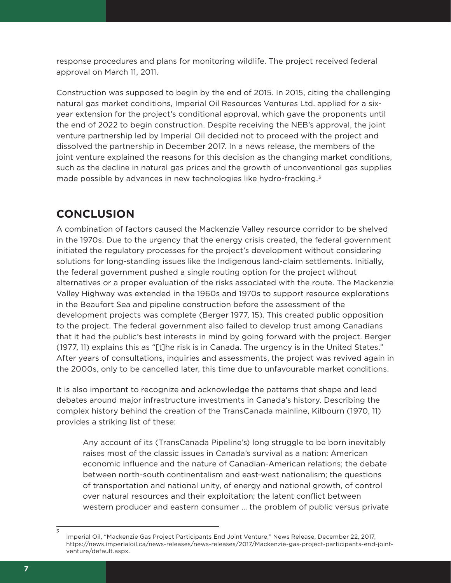response procedures and plans for monitoring wildlife. The project received federal approval on March 11, 2011.

Construction was supposed to begin by the end of 2015. In 2015, citing the challenging natural gas market conditions, Imperial Oil Resources Ventures Ltd. applied for a sixyear extension for the project's conditional approval, which gave the proponents until the end of 2022 to begin construction. Despite receiving the NEB's approval, the joint venture partnership led by Imperial Oil decided not to proceed with the project and dissolved the partnership in December 2017. In a news release, the members of the joint venture explained the reasons for this decision as the changing market conditions, such as the decline in natural gas prices and the growth of unconventional gas supplies made possible by advances in new technologies like hydro-fracking.<sup>3</sup>

# **CONCLUSION**

A combination of factors caused the Mackenzie Valley resource corridor to be shelved in the 1970s. Due to the urgency that the energy crisis created, the federal government initiated the regulatory processes for the project's development without considering solutions for long-standing issues like the Indigenous land-claim settlements. Initially, the federal government pushed a single routing option for the project without alternatives or a proper evaluation of the risks associated with the route. The Mackenzie Valley Highway was extended in the 1960s and 1970s to support resource explorations in the Beaufort Sea and pipeline construction before the assessment of the development projects was complete (Berger 1977, 15). This created public opposition to the project. The federal government also failed to develop trust among Canadians that it had the public's best interests in mind by going forward with the project. Berger (1977, 11) explains this as "[t]he risk is in Canada. The urgency is in the United States." After years of consultations, inquiries and assessments, the project was revived again in the 2000s, only to be cancelled later, this time due to unfavourable market conditions.

It is also important to recognize and acknowledge the patterns that shape and lead debates around major infrastructure investments in Canada's history. Describing the complex history behind the creation of the TransCanada mainline, Kilbourn (1970, 11) provides a striking list of these:

Any account of its (TransCanada Pipeline's) long struggle to be born inevitably raises most of the classic issues in Canada's survival as a nation: American economic influence and the nature of Canadian-American relations; the debate between north-south continentalism and east-west nationalism; the questions of transportation and national unity, of energy and national growth, of control over natural resources and their exploitation; the latent conflict between western producer and eastern consumer … the problem of public versus private

*3*

Imperial Oil, "Mackenzie Gas Project Participants End Joint Venture," News Release, December 22, 2017, [https://news.imperialoil.ca/news-releases/news-releases/2017/Mackenzie-gas-project-participants-end-joint](https://news.imperialoil.ca/news-releases/news-releases/2017/Mackenzie-gas-project-participants-end-joint-venture/default.aspx)[venture/default.aspx](https://news.imperialoil.ca/news-releases/news-releases/2017/Mackenzie-gas-project-participants-end-joint-venture/default.aspx).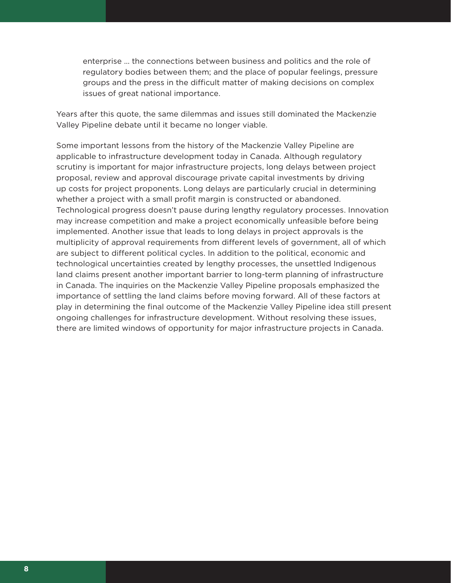enterprise … the connections between business and politics and the role of regulatory bodies between them; and the place of popular feelings, pressure groups and the press in the difficult matter of making decisions on complex issues of great national importance.

Years after this quote, the same dilemmas and issues still dominated the Mackenzie Valley Pipeline debate until it became no longer viable.

Some important lessons from the history of the Mackenzie Valley Pipeline are applicable to infrastructure development today in Canada. Although regulatory scrutiny is important for major infrastructure projects, long delays between project proposal, review and approval discourage private capital investments by driving up costs for project proponents. Long delays are particularly crucial in determining whether a project with a small profit margin is constructed or abandoned. Technological progress doesn't pause during lengthy regulatory processes. Innovation may increase competition and make a project economically unfeasible before being implemented. Another issue that leads to long delays in project approvals is the multiplicity of approval requirements from different levels of government, all of which are subject to different political cycles. In addition to the political, economic and technological uncertainties created by lengthy processes, the unsettled Indigenous land claims present another important barrier to long-term planning of infrastructure in Canada. The inquiries on the Mackenzie Valley Pipeline proposals emphasized the importance of settling the land claims before moving forward. All of these factors at play in determining the final outcome of the Mackenzie Valley Pipeline idea still present ongoing challenges for infrastructure development. Without resolving these issues, there are limited windows of opportunity for major infrastructure projects in Canada.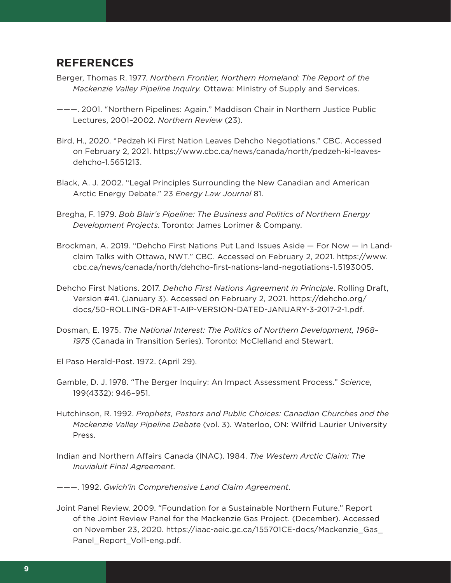## **REFERENCES**

- Berger, Thomas R. 1977. *Northern Frontier, Northern Homeland: The Report of the Mackenzie Valley Pipeline Inquiry.* Ottawa: Ministry of Supply and Services.
- ———. 2001. "Northern Pipelines: Again." Maddison Chair in Northern Justice Public Lectures, 2001–2002. *Northern Review* (23).
- Bird, H., 2020. "Pedzeh Ki First Nation Leaves Dehcho Negotiations." CBC. Accessed on February 2, 2021. [https://www.cbc.ca/news/canada/north/pedzeh-ki-leaves](https://www.cbc.ca/news/canada/north/pedzeh-ki-leaves-dehcho-1.5651213)[dehcho-1.5651213](https://www.cbc.ca/news/canada/north/pedzeh-ki-leaves-dehcho-1.5651213).
- Black, A. J. 2002. "Legal Principles Surrounding the New Canadian and American Arctic Energy Debate." 23 *Energy Law Journal* 81.
- Bregha, F. 1979. *Bob Blair's Pipeline: The Business and Politics of Northern Energy Development Projects*. Toronto: James Lorimer & Company.
- Brockman, A. 2019. "Dehcho First Nations Put Land Issues Aside For Now in Landclaim Talks with Ottawa, NWT." CBC. Accessed on February 2, 2021. [https://www.](https://www.cbc.ca/news/canada/north/dehcho-first-nations-land-negotiations-1.5193005) [cbc.ca/news/canada/north/dehcho-first-nations-land-negotiations-1.5193005.](https://www.cbc.ca/news/canada/north/dehcho-first-nations-land-negotiations-1.5193005)
- Dehcho First Nations. 2017*. Dehcho First Nations Agreement in Principle*. Rolling Draft, Version #41. (January 3). Accessed on February 2, 2021. [https://dehcho.org/](https://dehcho.org/docs/50-ROLLING-DRAFT-AIP-VERSION-DATED-JANUARY-3-2017-2-1.pdf) [docs/50-ROLLING-DRAFT-AIP-VERSION-DATED-JANUARY-3-2017-2-1.pdf.](https://dehcho.org/docs/50-ROLLING-DRAFT-AIP-VERSION-DATED-JANUARY-3-2017-2-1.pdf)
- Dosman, E. 1975. *The National Interest: The Politics of Northern Development, 1968– 1975* (Canada in Transition Series). Toronto: McClelland and Stewart.

El Paso Herald-Post. 1972. (April 29).

- Gamble, D. J. 1978. "The Berger Inquiry: An Impact Assessment Process." *Science*, 199(4332): 946–951.
- Hutchinson, R. 1992. *Prophets, Pastors and Public Choices: Canadian Churches and the Mackenzie Valley Pipeline Debate* (vol. 3). Waterloo, ON: Wilfrid Laurier University Press.
- Indian and Northern Affairs Canada (INAC). 1984. *The Western Arctic Claim: The Inuvialuit Final Agreement*.
- ———. 1992. *Gwich'in Comprehensive Land Claim Agreement*.
- Joint Panel Review. 2009. "Foundation for a Sustainable Northern Future." Report of the Joint Review Panel for the Mackenzie Gas Project. (December). Accessed on November 23, 2020. [https://iaac-aeic.gc.ca/155701CE-docs/Mackenzie\\_Gas\\_](https://iaac-aeic.gc.ca/155701CE-docs/Mackenzie_Gas_Panel_Report_Vol1-eng.pdf) [Panel\\_Report\\_Vol1-eng.pdf](https://iaac-aeic.gc.ca/155701CE-docs/Mackenzie_Gas_Panel_Report_Vol1-eng.pdf).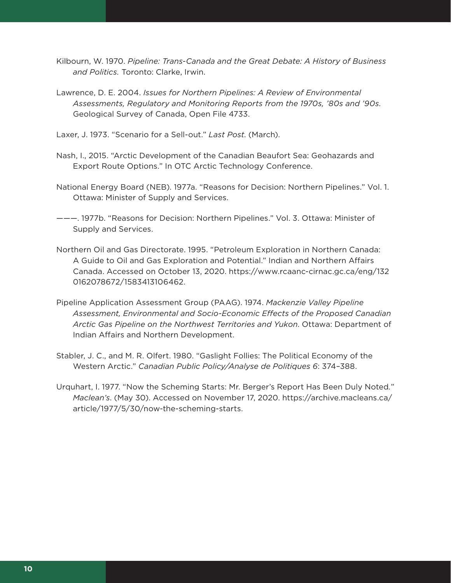- Kilbourn, W. 1970. *Pipeline: Trans-Canada and the Great Debate: A History of Business and Politics.* Toronto: Clarke, Irwin.
- Lawrence, D. E. 2004. *Issues for Northern Pipelines: A Review of Environmental Assessments, Regulatory and Monitoring Reports from the 1970s, '80s and '90s.* Geological Survey of Canada, Open File 4733.
- Laxer, J. 1973. "Scenario for a Sell-out." *Last Post*. (March).
- Nash, I., 2015. "Arctic Development of the Canadian Beaufort Sea: Geohazards and Export Route Options." In OTC Arctic Technology Conference.
- National Energy Board (NEB). 1977a. "Reasons for Decision: Northern Pipelines." Vol. 1. Ottawa: Minister of Supply and Services.
- ———. 1977b. "Reasons for Decision: Northern Pipelines." Vol. 3. Ottawa: Minister of Supply and Services.
- Northern Oil and Gas Directorate. 1995. "Petroleum Exploration in Northern Canada: A Guide to Oil and Gas Exploration and Potential." Indian and Northern Affairs Canada. Accessed on October 13, 2020. [https://www.rcaanc-cirnac.gc.ca/eng/132](https://www.rcaanc-cirnac.gc.ca/eng/1320162078672/1583413106462) [0162078672/1583413106462](https://www.rcaanc-cirnac.gc.ca/eng/1320162078672/1583413106462).
- Pipeline Application Assessment Group (PAAG). 1974. *Mackenzie Valley Pipeline Assessment, Environmental and Socio-Economic Effects of the Proposed Canadian Arctic Gas Pipeline on the Northwest Territories and Yukon*. Ottawa: Department of Indian Affairs and Northern Development.
- Stabler, J. C., and M. R. Olfert. 1980. "Gaslight Follies: The Political Economy of the Western Arctic." *Canadian Public Policy/Analyse de Politiques 6*: 374–388.
- Urquhart, I. 1977. "Now the Scheming Starts: Mr. Berger's Report Has Been Duly Noted*.*" *Maclean's*. (May 30). Accessed on November 17, 2020. [https://archive.macleans.ca/](https://archive.macleans.ca/article/1977/5/30/now-the-scheming-starts) [article/1977/5/30/now-the-scheming-starts](https://archive.macleans.ca/article/1977/5/30/now-the-scheming-starts).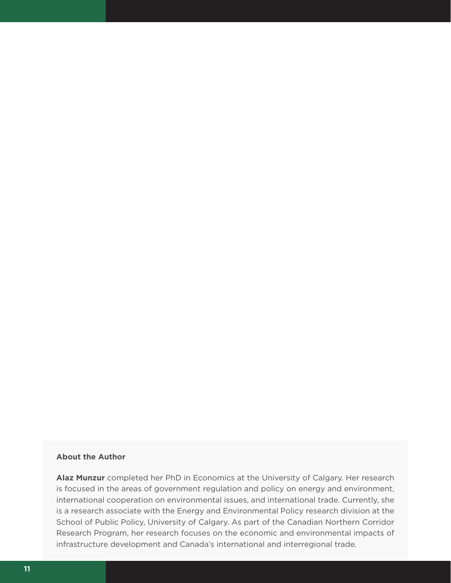#### **About the Author**

**Alaz Munzur** completed her PhD in Economics at the University of Calgary. Her research is focused in the areas of government regulation and policy on energy and environment, international cooperation on environmental issues, and international trade. Currently, she is a research associate with the Energy and Environmental Policy research division at the School of Public Policy, University of Calgary. As part of the Canadian Northern Corridor Research Program, her research focuses on the economic and environmental impacts of infrastructure development and Canada's international and interregional trade.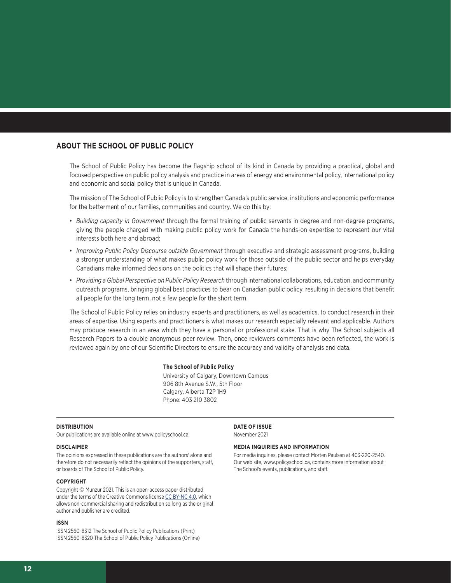#### **ABOUT THE SCHOOL OF PUBLIC POLICY**

The School of Public Policy has become the flagship school of its kind in Canada by providing a practical, global and focused perspective on public policy analysis and practice in areas of energy and environmental policy, international policy and economic and social policy that is unique in Canada.

The mission of The School of Public Policy is to strengthen Canada's public service, institutions and economic performance for the betterment of our families, communities and country. We do this by:

- *Building capacity in Government* through the formal training of public servants in degree and non-degree programs, giving the people charged with making public policy work for Canada the hands-on expertise to represent our vital interests both here and abroad;
- *Improving Public Policy Discourse outside Government* through executive and strategic assessment programs, building a stronger understanding of what makes public policy work for those outside of the public sector and helps everyday Canadians make informed decisions on the politics that will shape their futures;
- *Providing a Global Perspective on Public Policy Research* through international collaborations, education, and community outreach programs, bringing global best practices to bear on Canadian public policy, resulting in decisions that benefit all people for the long term, not a few people for the short term.

The School of Public Policy relies on industry experts and practitioners, as well as academics, to conduct research in their areas of expertise. Using experts and practitioners is what makes our research especially relevant and applicable. Authors may produce research in an area which they have a personal or professional stake. That is why The School subjects all Research Papers to a double anonymous peer review. Then, once reviewers comments have been reflected, the work is reviewed again by one of our Scientific Directors to ensure the accuracy and validity of analysis and data.

#### **The School of Public Policy**

University of Calgary, Downtown Campus 906 8th Avenue S.W., 5th Floor Calgary, Alberta T2P 1H9 Phone: 403 210 3802

#### **DISTRIBUTION**

Our publications are available online at www.policyschool.ca.

#### **DISCLAIMER**

The opinions expressed in these publications are the authors' alone and therefore do not necessarily reflect the opinions of the supporters, staff, or boards of The School of Public Policy.

#### **COPYRIGHT**

Copyright © Munzur 2021. This is an open-access paper distributed under the terms of the Creative Commons license [CC BY-NC 4.0](https://creativecommons.org/licenses/by-nc/4.0/), which allows non-commercial sharing and redistribution so long as the original author and publisher are credited.

#### **ISSN**

ISSN 2560-8312 The School of Public Policy Publications (Print) ISSN 2560-8320 The School of Public Policy Publications (Online) **DATE OF ISSUE** November 2021

#### **MEDIA INQUIRIES AND INFORMATION**

For media inquiries, please contact Morten Paulsen at 403-220-2540. Our web site, www.policyschool.ca, contains more information about The School's events, publications, and staff.